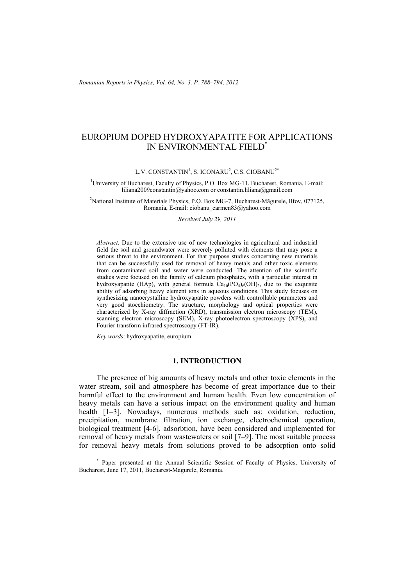# EUROPIUM DOPED HYDROXYAPATITE FOR APPLICATIONS IN ENVIRONMENTAL FIELD\*

L.V. CONSTANTIN<sup>1</sup>, S. ICONARU<sup>2</sup>, C.S. CIOBANU<sup>2\*</sup>

<sup>1</sup>University of Bucharest, Faculty of Physics, P.O. Box MG-11, Bucharest, Romania, E-mail: liliana2009constantin@yahoo.com or constantin.liliana@gmail.com

<sup>2</sup> National Institute of Materials Physics, P.O. Box MG-7, Bucharest-Măgurele, Ilfov, 077125, Romania, E-mail: ciobanu\_carmen83@yahoo.com

*Received July 29, 2011* 

*Abstract*. Due to the extensive use of new technologies in agricultural and industrial field the soil and groundwater were severely polluted with elements that may pose a serious threat to the environment. For that purpose studies concerning new materials that can be successfully used for removal of heavy metals and other toxic elements from contaminated soil and water were conducted. The attention of the scientific studies were focused on the family of calcium phosphates, with a particular interest in hydroxyapatite (HAp), with general formula  $Ca_{10}(PO_4)_6(OH)_2$ , due to the exquisite ability of adsorbing heavy element ions in aqueous conditions. This study focuses on synthesizing nanocrystalline hydroxyapatite powders with controllable parameters and very good stoechiometry. The structure, morphology and optical properties were characterized by X-ray diffraction (XRD), transmission electron microscopy (TEM), scanning electron microscopy (SEM), X-ray photoelectron spectroscopy (XPS), and Fourier transform infrared spectroscopy (FT-IR).

*Key words*: hydroxyapatite, europium.

## **1. INTRODUCTION**

The presence of big amounts of heavy metals and other toxic elements in the water stream, soil and atmosphere has become of great importance due to their harmful effect to the environment and human health. Even low concentration of heavy metals can have a serious impact on the environment quality and human health [1–3]. Nowadays, numerous methods such as: oxidation, reduction, precipitation, membrane filtration, ion exchange, electrochemical operation, biological treatment [4-6], adsorbtion, have been considered and implemented for removal of heavy metals from wastewaters or soil [7–9]. The most suitable process for removal heavy metals from solutions proved to be adsorption onto solid

\* Paper presented at the Annual Scientific Session of Faculty of Physics, University of Bucharest, June 17, 2011, Bucharest-Magurele, Romania.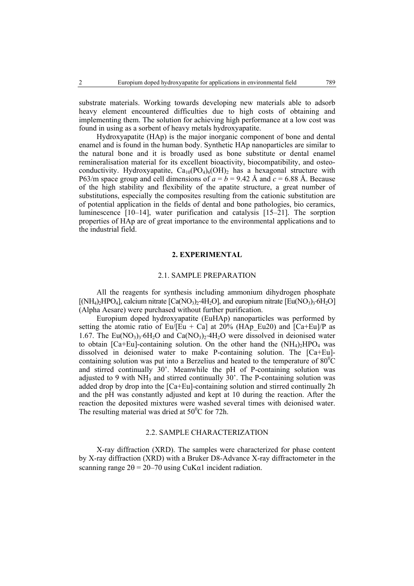substrate materials. Working towards developing new materials able to adsorb heavy element encountered difficulties due to high costs of obtaining and implementing them. The solution for achieving high performance at a low cost was found in using as a sorbent of heavy metals hydroxyapatite.

Hydroxyapatite (HAp) is the major inorganic component of bone and dental enamel and is found in the human body. Synthetic HAp nanoparticles are similar to the natural bone and it is broadly used as bone substitute or dental enamel remineralisation material for its excellent bioactivity, biocompatibility, and osteoconductivity. Hydroxyapatite,  $Ca_{10}(PO_4)_6(OH)_2$  has a hexagonal structure with P63/m space group and cell dimensions of  $a = b = 9.42$  Å and  $c = 6.88$  Å. Because of the high stability and flexibility of the apatite structure, a great number of substitutions, especially the composites resulting from the cationic substitution are of potential application in the fields of dental and bone pathologies, bio ceramics, luminescence [10–14], water purification and catalysis [15–21]. The sorption properties of HAp are of great importance to the environmental applications and to the industrial field.

### **2. EXPERIMENTAL**

### 2.1. SAMPLE PREPARATION

All the reagents for synthesis including ammonium dihydrogen phosphate  $[(NH_4)_2HPQ_4]$ , calcium nitrate  $[Ca(NQ_3)_2.4H_2O]$ , and europium nitrate  $[Eu(NQ_3)_3.6H_2O]$ (Alpha Aesare) were purchased without further purification.

Europium doped hydroxyapatite (EuHAp) nanoparticles was performed by setting the atomic ratio of Eu/[Eu + Ca] at 20% (HAp Eu20) and  $[Ca+Eu]/P$  as 1.67. The Eu(NO<sub>3</sub>)<sub>3</sub>⋅6H<sub>2</sub>O and Ca(NO<sub>3</sub>)<sub>2</sub>⋅4H<sub>2</sub>O were dissolved in deionised water to obtain  $[Ca+Eu]$ -containing solution. On the other hand the  $(NH<sub>4</sub>)<sub>2</sub>HPO<sub>4</sub>$  was dissolved in deionised water to make P-containing solution. The [Ca+Eu] containing solution was put into a Berzelius and heated to the temperature of  $80^{\circ}$ C and stirred continually 30'. Meanwhile the pH of P-containing solution was adjusted to 9 with  $NH_3$  and stirred continually  $30'$ . The P-containing solution was added drop by drop into the [Ca+Eu]-containing solution and stirred continually 2h and the pH was constantly adjusted and kept at 10 during the reaction. After the reaction the deposited mixtures were washed several times with deionised water. The resulting material was dried at  $50^{\circ}$ C for 72h.

# 2.2. SAMPLE CHARACTERIZATION

X-ray diffraction (XRD). The samples were characterized for phase content by X-ray diffraction (XRD) with a Bruker D8-Advance X-ray diffractometer in the scanning range  $2\theta = 20 - 70$  using CuKa1 incident radiation.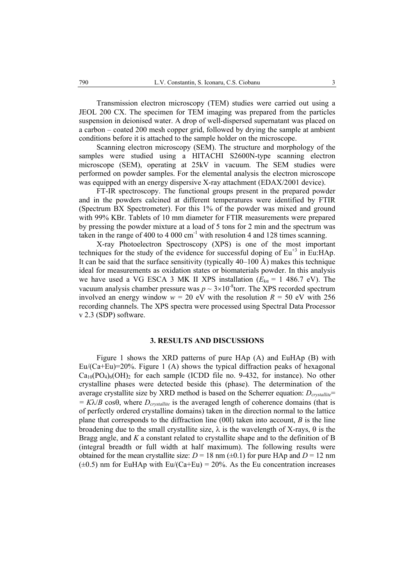Transmission electron microscopy (TEM) studies were carried out using a JEOL 200 CX. The specimen for TEM imaging was prepared from the particles suspension in deionised water. A drop of well-dispersed supernatant was placed on a carbon – coated 200 mesh copper grid, followed by drying the sample at ambient conditions before it is attached to the sample holder on the microscope.

Scanning electron microscopy (SEM). The structure and morphology of the samples were studied using a HITACHI S2600N-type scanning electron microscope (SEM), operating at 25kV in vacuum. The SEM studies were performed on powder samples. For the elemental analysis the electron microscope was equipped with an energy dispersive X-ray attachment (EDAX/2001 device).

FT-IR spectroscopy. The functional groups present in the prepared powder and in the powders calcined at different temperatures were identified by FTIR (Spectrum BX Spectrometer). For this 1% of the powder was mixed and ground with 99% KBr. Tablets of 10 mm diameter for FTIR measurements were prepared by pressing the powder mixture at a load of 5 tons for 2 min and the spectrum was taken in the range of 400 to 4 000  $cm^{-1}$  with resolution 4 and 128 times scanning.

X-ray Photoelectron Spectroscopy (XPS) is one of the most important techniques for the study of the evidence for successful doping of  $Eu<sup>+3</sup>$  in Eu:HAp. It can be said that the surface sensitivity (typically  $40-100 \text{ Å}$ ) makes this technique ideal for measurements as oxidation states or biomaterials powder. In this analysis we have used a VG ESCA 3 MK II XPS installation  $(E_{k\alpha} = 1\,486.7\,eV)$ . The vacuum analysis chamber pressure was  $p \sim 3 \times 10^{-8}$ torr. The XPS recorded spectrum involved an energy window  $w = 20$  eV with the resolution  $R = 50$  eV with 256 recording channels. The XPS spectra were processed using Spectral Data Processor v 2.3 (SDP) software.

# **3. RESULTS AND DISCUSSIONS**

Figure 1 shows the XRD patterns of pure HAp (A) and EuHAp (B) with  $Eu/(Ca+Eu)=20\%$ . Figure 1 (A) shows the typical diffraction peaks of hexagonal  $Ca_{10}(PO_4)_6(OH)_2$  for each sample (ICDD file no. 9-432, for instance). No other crystalline phases were detected beside this (phase). The determination of the average crystallite size by XRD method is based on the Scherrer equation:  $D_{crvstallite}$ =  $= K\lambda/B \cos\theta$ , where  $D_{crvstallite}$  is the averaged length of coherence domains (that is of perfectly ordered crystalline domains) taken in the direction normal to the lattice plane that corresponds to the diffraction line (00l) taken into account, *B* is the line broadening due to the small crystallite size,  $\lambda$  is the wavelength of X-rays,  $\theta$  is the Bragg angle, and *K* a constant related to crystallite shape and to the definition of B (integral breadth or full width at half maximum). The following results were obtained for the mean crystallite size:  $D = 18$  nm ( $\pm 0.1$ ) for pure HAp and  $D = 12$  nm  $(\pm 0.5)$  nm for EuHAp with Eu/(Ca+Eu) = 20%. As the Eu concentration increases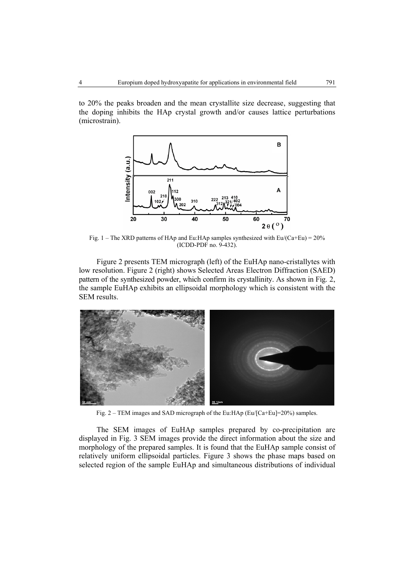to 20% the peaks broaden and the mean crystallite size decrease, suggesting that the doping inhibits the HAp crystal growth and/or causes lattice perturbations (microstrain).



Fig. 1 – The XRD patterns of HAp and Eu:HAp samples synthesized with  $Eu/(Ca+Eu) = 20\%$ (ICDD-PDF no. 9-432).

Figure 2 presents TEM micrograph (left) of the EuHAp nano-cristallytes with low resolution. Figure 2 (right) shows Selected Areas Electron Diffraction (SAED) pattern of the synthesized powder, which confirm its crystallinity. As shown in Fig. 2, the sample EuHAp exhibits an ellipsoidal morphology which is consistent with the SEM results.



Fig. 2 – TEM images and SAD micrograph of the Eu:HAp (Eu/[Ca+Eu]=20%) samples.

The SEM images of EuHAp samples prepared by co-precipitation are displayed in Fig. 3 SEM images provide the direct information about the size and morphology of the prepared samples. It is found that the EuHAp sample consist of relatively uniform ellipsoidal particles. Figure 3 shows the phase maps based on selected region of the sample EuHAp and simultaneous distributions of individual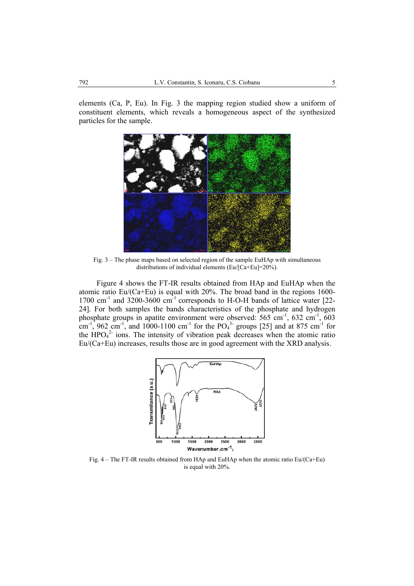elements (Ca, P, Eu). In Fig. 3 the mapping region studied show a uniform of constituent elements, which reveals a homogeneous aspect of the synthesized particles for the sample.



Fig. 3 – The phase maps based on selected region of the sample EuHAp with simultaneous distributions of individual elements (Eu/[Ca+Eu]=20%).

Figure 4 shows the FT-IR results obtained from HAp and EuHAp when the atomic ratio Eu/(Ca+Eu) is equal with 20%. The broad band in the regions 1600- 1700  $cm^{-1}$  and 3200-3600  $cm^{-1}$  corresponds to H-O-H bands of lattice water [22-24]. For both samples the bands characteristics of the phosphate and hydrogen phosphate groups in apatite environment were observed:  $565 \text{ cm}^{-1}$ ,  $632 \text{ cm}^{-1}$ ,  $603$ cm<sup>-1</sup>, 962 cm<sup>-1</sup>, and 1000-1100 cm<sup>-1</sup> for the PO<sub>4</sub><sup>3-</sup> groups [25] and at 875 cm<sup>-1</sup> for the  $HPO<sub>4</sub><sup>2</sup>$  ions. The intensity of vibration peak decreases when the atomic ratio Eu/(Ca+Eu) increases, results those are in good agreement with the XRD analysis.



Fig. 4 – The FT-IR results obtained from HAp and EuHAp when the atomic ratio Eu/(Ca+Eu) is equal with 20%.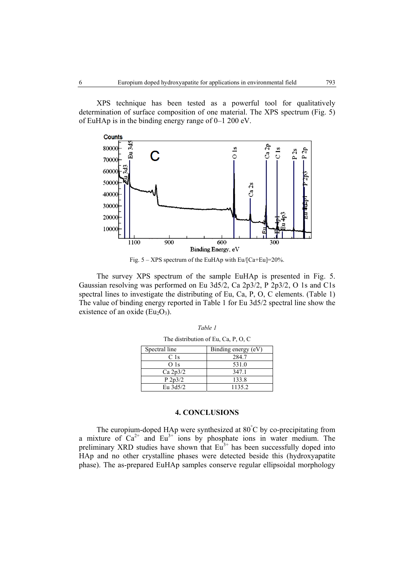XPS technique has been tested as a powerful tool for qualitatively determination of surface composition of one material. The XPS spectrum (Fig. 5) of EuHAp is in the binding energy range of 0–1 200 eV.



Fig.  $5 - XPS$  spectrum of the EuHAp with Eu/[Ca+Eu]=20%.

The survey XPS spectrum of the sample EuHAp is presented in Fig. 5. Gaussian resolving was performed on Eu 3d5/2, Ca 2p3/2, P 2p3/2, O 1s and C1s spectral lines to investigate the distributing of Eu, Ca, P, O, C elements. (Table 1) The value of binding energy reported in Table 1 for Eu 3d5/2 spectral line show the existence of an oxide  $(Eu<sub>2</sub>O<sub>3</sub>)$ .

| Spectral line   | Binding energy (eV) |
|-----------------|---------------------|
| C 1s            | 284.7               |
| O <sub>1s</sub> | 531.0               |
| Ca 2p3/2        | 347.1               |
| P 2p3/2         | 133.8               |
| Eu 3d5/2        | 1135.2              |

*Table 1*  The distribution of Eu, Ca, P, O, C

#### **4. CONCLUSIONS**

The europium-doped HAp were synthesized at 80° C by co-precipitating from a mixture of  $Ca^{2+}$  and  $Eu^{3+}$  ions by phosphate ions in water medium. The preliminary XRD studies have shown that  $Eu<sup>3+</sup>$  has been successfully doped into HAp and no other crystalline phases were detected beside this (hydroxyapatite phase). The as-prepared EuHAp samples conserve regular ellipsoidal morphology